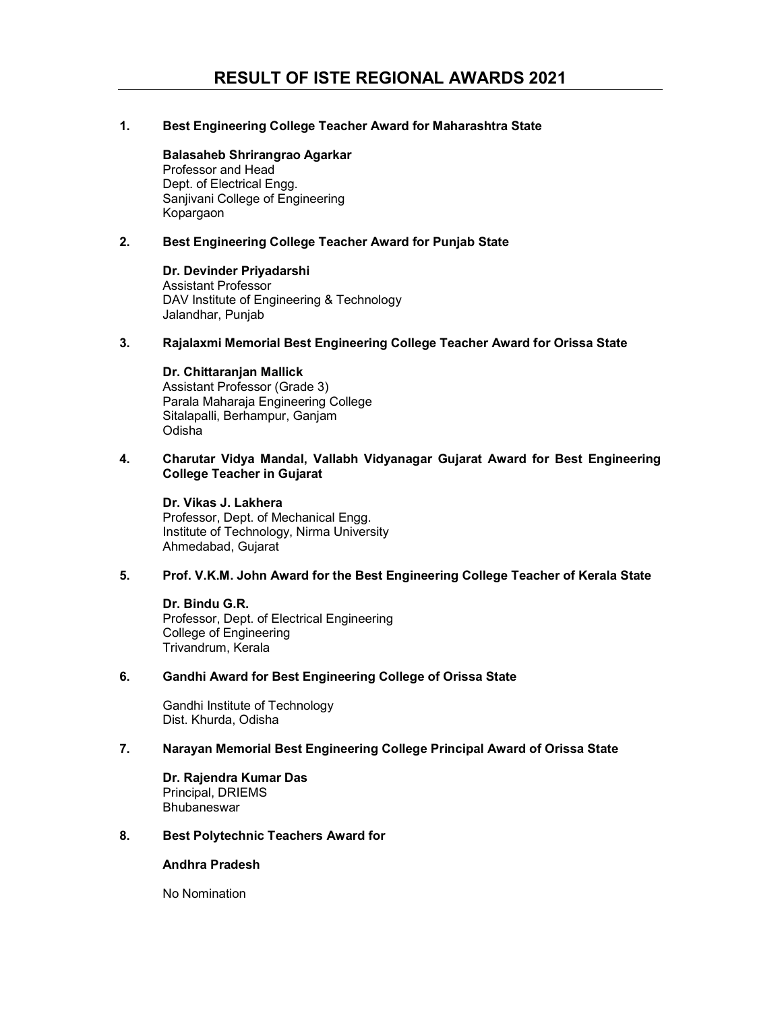# 1. Best Engineering College Teacher Award for Maharashtra State

Balasaheb Shrirangrao Agarkar Professor and Head Dept. of Electrical Engg. Sanjivani College of Engineering Kopargaon

# 2. Best Engineering College Teacher Award for Punjab State

Dr. Devinder Priyadarshi Assistant Professor DAV Institute of Engineering & Technology Jalandhar, Punjab

# 3. Rajalaxmi Memorial Best Engineering College Teacher Award for Orissa State

# Dr. Chittaranjan Mallick

Assistant Professor (Grade 3) Parala Maharaja Engineering College Sitalapalli, Berhampur, Ganjam Odisha

### 4. Charutar Vidya Mandal, Vallabh Vidyanagar Gujarat Award for Best Engineering College Teacher in Gujarat

Dr. Vikas J. Lakhera Professor, Dept. of Mechanical Engg. Institute of Technology, Nirma University Ahmedabad, Gujarat

### 5. Prof. V.K.M. John Award for the Best Engineering College Teacher of Kerala State

Dr. Bindu G.R. Professor, Dept. of Electrical Engineering College of Engineering Trivandrum, Kerala

### 6. Gandhi Award for Best Engineering College of Orissa State

Gandhi Institute of Technology Dist. Khurda, Odisha

### 7. Narayan Memorial Best Engineering College Principal Award of Orissa State

Dr. Rajendra Kumar Das Principal, DRIEMS **Bhubaneswar** 

### 8. Best Polytechnic Teachers Award for

# Andhra Pradesh

No Nomination